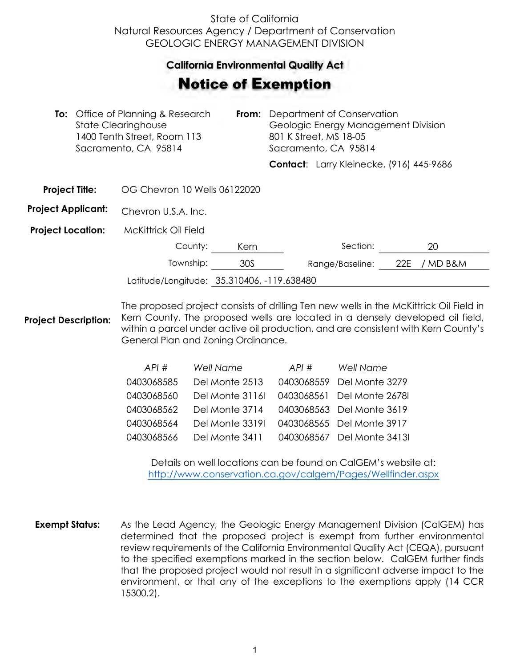## State of California Natural Resources Agency / Department of Conservation GEOLOGIC ENERGY MANAGEMENT DIVISION

## **California Environmental Quality Act**  California Environmental Quality Act

## Notice of Exemption **otice of Exemption**

| <b>To:</b> Office of Planning & Research<br><b>State Clearinghouse</b><br>1400 Tenth Street, Room 113<br>Sacramento, CA 95814 |  | From:                                      | Department of Conservation<br>Geologic Energy Management Division<br>801 K Street, MS 18-05<br>Sacramento, CA 95814 |  |                                          |     |          |  |
|-------------------------------------------------------------------------------------------------------------------------------|--|--------------------------------------------|---------------------------------------------------------------------------------------------------------------------|--|------------------------------------------|-----|----------|--|
|                                                                                                                               |  |                                            |                                                                                                                     |  | Contact: Larry Kleinecke, (916) 445-9686 |     |          |  |
| <b>Project Title:</b>                                                                                                         |  | OG Chevron 10 Wells 06122020               |                                                                                                                     |  |                                          |     |          |  |
| <b>Project Applicant:</b>                                                                                                     |  | Chevron U.S.A. Inc.                        |                                                                                                                     |  |                                          |     |          |  |
| <b>Project Location:</b>                                                                                                      |  | <b>McKittrick Oil Field</b>                |                                                                                                                     |  |                                          |     |          |  |
|                                                                                                                               |  | County:                                    | Kern                                                                                                                |  | Section:                                 |     | 20       |  |
|                                                                                                                               |  | Township:                                  | 30S                                                                                                                 |  | Range/Baseline:                          | 22E | / MD B&M |  |
|                                                                                                                               |  | Latitude/Longitude: 35.310406, -119.638480 |                                                                                                                     |  |                                          |     |          |  |
|                                                                                                                               |  |                                            |                                                                                                                     |  |                                          |     |          |  |

**Project Description:** The proposed project consists of drilling Ten new wells in the McKittrick Oil Field in Kern County. The proposed wells are located in a densely developed oil field, within a parcel under active oil production, and are consistent with Kern County's General Plan and Zoning Ordinance.

| API#       | <b>Well Name</b> | API# | Well Name                  |
|------------|------------------|------|----------------------------|
| 0403068585 | Del Monte 2513   |      | 0403068559 Del Monte 3279  |
| 0403068560 | Del Monte 3116   |      | 0403068561 Del Monte 26781 |
| 0403068562 | Del Monte 3714   |      | 0403068563 Del Monte 3619  |
| 0403068564 | Del Monte 3319I  |      | 0403068565 Del Monte 3917  |
| 0403068566 | Del Monte 3411   |      | 0403068567 Del Monte 34131 |

Details on well locations can be found on CalGEM's website at: <http://www.conservation.ca.gov/calgem/Pages/Wellfinder.aspx>

**Exempt Status:** As the Lead Agency, the Geologic Energy Management Division (CalGEM) has determined that the proposed project is exempt from further environmental review requirements of the California Environmental Quality Act (CEQA), pursuant to the specified exemptions marked in the section below. CalGEM further finds that the proposed project would not result in a significant adverse impact to the environment, or that any of the exceptions to the exemptions apply (14 CCR 15300.2).